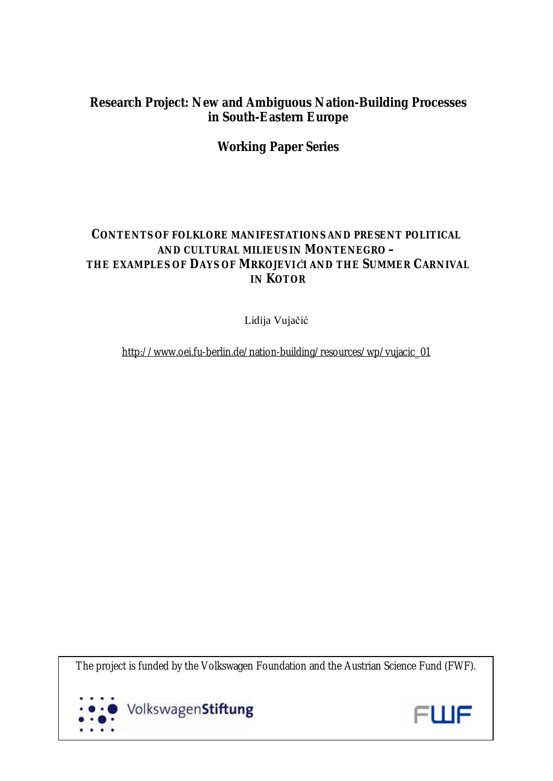# **Research Project: New and Ambiguous Nation-Building Processes in South-Eastern Europe**

# **Working Paper Series**

# **CONTENTS OF FOLKLORE MANIFESTATIONS AND PRESENT POLITICAL AND CULTURAL MILIEUS IN MONTENEGRO – THE EXAMPLES OF** *DAYS OF MRKOJEVIĆI* **AND THE** *SUMMER CARNIVAL*  **IN KOTOR**

Lidija Vujačić

[http://www.oei.fu-berlin.de/nation-building/resources/wp/vujacic\\_01](http://www.oei.fu-berlin.de/nation-building/resources/wp/vujacic_01)

The project is funded by the Volkswagen Foundation and the Austrian Science Fund (FWF).



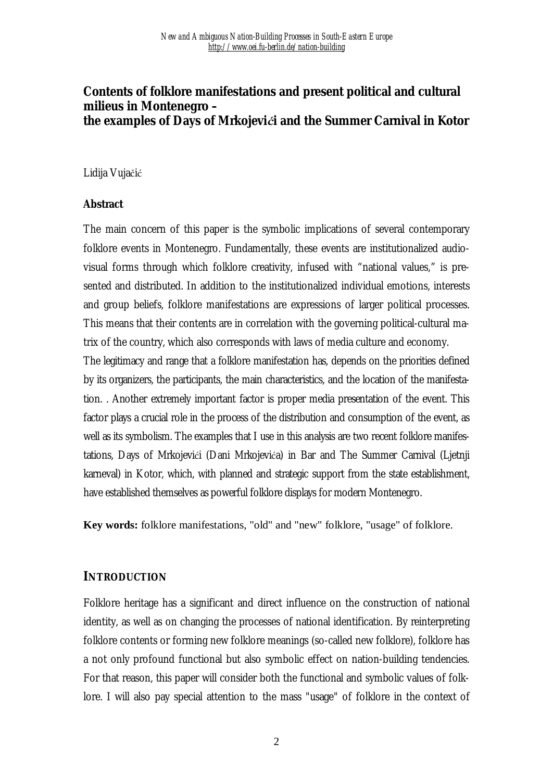## **Contents of folklore manifestations and present political and cultural milieus in Montenegro – the examples of** *Days of Mrkojevići* **and the** *Summer Carnival* **in Kotor**

#### Lidija Vujačić

#### **Abstract**

The main concern of this paper is the symbolic implications of several contemporary folklore events in Montenegro. Fundamentally, these events are institutionalized audiovisual forms through which folklore creativity, infused with "national values," is presented and distributed. In addition to the institutionalized individual emotions, interests and group beliefs, folklore manifestations are expressions of larger political processes. This means that their contents are in correlation with the governing political-cultural matrix of the country, which also corresponds with laws of media culture and economy.

The legitimacy and range that a folklore manifestation has, depends on the priorities defined by its organizers, the participants, the main characteristics, and the location of the manifestation. . Another extremely important factor is proper media presentation of the event. This factor plays a crucial role in the process of the distribution and consumption of the event, as well as its symbolism. The examples that I use in this analysis are two recent folklore manifestations, Days of Mrkojevići (Dani Mrkojevića) in Bar and The Summer Carnival (Ljetnji karneval) in Kotor, which, with planned and strategic support from the state establishment, have established themselves as powerful folklore displays for modern Montenegro.

**Key words:** folklore manifestations, "old" and "new" folklore, "usage" of folklore.

#### **INTRODUCTION**

Folklore heritage has a significant and direct influence on the construction of national identity, as well as on changing the processes of national identification. By reinterpreting folklore contents or forming new folklore meanings (so-called new folklore), folklore has a not only profound functional but also symbolic effect on nation-building tendencies. For that reason, this paper will consider both the functional and symbolic values of folklore. I will also pay special attention to the mass "usage" of folklore in the context of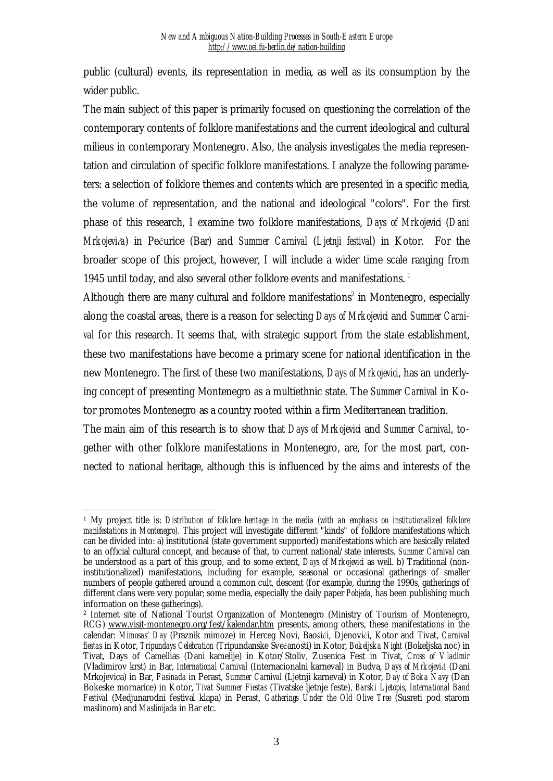public (cultural) events, its representation in media, as well as its consumption by the wider public.

The main subject of this paper is primarily focused on questioning the correlation of the contemporary contents of folklore manifestations and the current ideological and cultural milieus in contemporary Montenegro. Also, the analysis investigates the media representation and circulation of specific folklore manifestations. I analyze the following parameters: a selection of folklore themes and contents which are presented in a specific media, the volume of representation, and the national and ideological "colors". For the first phase of this research, I examine two folklore manifestations, *Days of Mrkojevici* (*Dani Mrkojevića*) in Pečurice (Bar) and *Summer Carnival* (*Ljetnji festival*) in Kotor. For the broader scope of this project, however, I will include a wider time scale ranging from 1945 until today, and also several other folklore events and manifestations.<sup>1</sup>

Although there are many cultural and folklore manifestations<sup>2</sup> in Montenegro, especially along the coastal areas, there is a reason for selecting *Days of Mrkojevici* and *Summer Carnival* for this research. It seems that, with strategic support from the state establishment, these two manifestations have become a primary scene for national identification in the new Montenegro. The first of these two manifestations, *Days of Mrkojevici*, has an underlying concept of presenting Montenegro as a multiethnic state. The *Summer Carnival* in Kotor promotes Montenegro as a country rooted within a firm Mediterranean tradition.

The main aim of this research is to show that *Days of Mrkojevici* and *Summer Carnival*, together with other folklore manifestations in Montenegro, are, for the most part, connected to national heritage, although this is influenced by the aims and interests of the

 $\overline{a}$ <sup>1</sup> My project title is: *Distribution of folklore heritage in the media (with an emphasis on institutionalized folklore manifestations in Montenegro).* This project will investigate different "kinds" of folklore manifestations which can be divided into: a) institutional (state government supported) manifestations which are basically related to an official cultural concept, and because of that, to current national/state interests. *Summer Carnival* can be understood as a part of this group, and to some extent, *Days of Mrkojevici* as well. b) Traditional (noninstitutionalized) manifestations, including for example, seasonal or occasional gatherings of smaller numbers of people gathered around a common cult, descent (for example, during the 1990s, gatherings of different clans were very popular; some media, especially the daily paper *Pobjeda*, has been publishing much information on these gatherings).

<sup>2</sup> Internet site of National Tourist Organization of Montenegro (Ministry of Tourism of Montenegro, RCG) [www.visit-montenegro.org/fest/kalendar.htm](http://www.visit-montenegro.org/fest/kalendar.htm) presents, among others, these manifestations in the calendar: *Mimosas' Day* (Praznik mimoze) in Herceg Novi, Baošići, Djenovići, Kotor and Tivat, *Carnival fiestas* in Kotor, *Tripundays Celebration* (Tripundanske Svečanosti) in Kotor, *Bokeljska Night* (Bokeljska noc) in Tivat, Days of Camellias (Dani kamelije) in Kotor/Stoliv, Zusenica Fest in Tivat, *Cross of Vladimir* (Vladimirov krst) in Bar, *International Carnival* (Internacionalni karneval) in Budva, *Days of Mrkojevići* (Dani Mrkojevica) in Bar, *Fasinada* in Perast, *Summer Carnival* (Ljetnji karneval) in Kotor, *Day of Boka Navy* (Dan Bokeske mornarice) in Kotor, *Tivat Summer Fiestas* (Tivatske ljetnje feste), *Barski Ljetopis*, *International Band Festival* (Medjunarodni festival klapa) in Perast, *Gatherings Under the Old Olive Tree* (Susreti pod starom maslinom) and *Maslinijada* in Bar etc.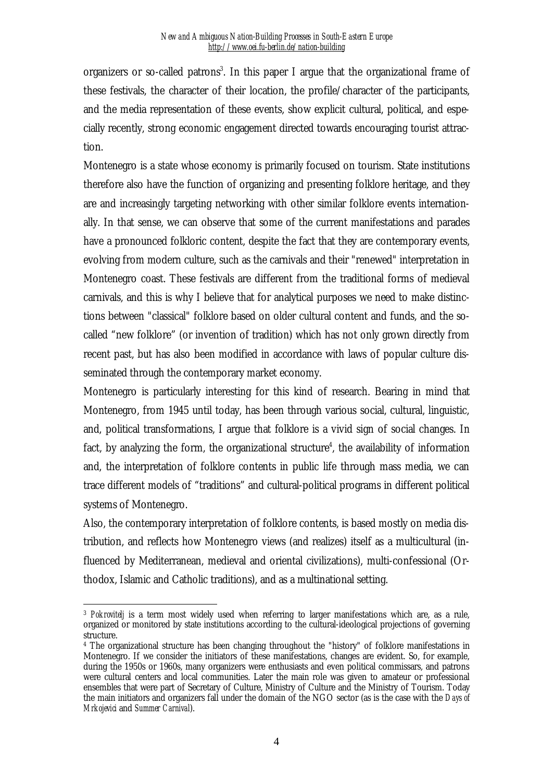organizers or so-called patrons<sup>3</sup>. In this paper I argue that the organizational frame of these festivals, the character of their location, the profile/character of the participants, and the media representation of these events, show explicit cultural, political, and especially recently, strong economic engagement directed towards encouraging tourist attraction.

Montenegro is a state whose economy is primarily focused on tourism. State institutions therefore also have the function of organizing and presenting folklore heritage, and they are and increasingly targeting networking with other similar folklore events internationally. In that sense, we can observe that some of the current manifestations and parades have a pronounced folkloric content, despite the fact that they are contemporary events, evolving from modern culture, such as the carnivals and their "renewed" interpretation in Montenegro coast. These festivals are different from the traditional forms of medieval carnivals, and this is why I believe that for analytical purposes we need to make distinctions between "classical" folklore based on older cultural content and funds, and the socalled "new folklore" (or invention of tradition) which has not only grown directly from recent past, but has also been modified in accordance with laws of popular culture disseminated through the contemporary market economy.

Montenegro is particularly interesting for this kind of research. Bearing in mind that Montenegro, from 1945 until today, has been through various social, cultural, linguistic, and, political transformations, I argue that folklore is a vivid sign of social changes. In fact, by analyzing the form, the organizational structure<sup>4</sup>, the availability of information and, the interpretation of folklore contents in public life through mass media, we can trace different models of "traditions" and cultural-political programs in different political systems of Montenegro.

Also, the contemporary interpretation of folklore contents, is based mostly on media distribution, and reflects how Montenegro views (and realizes) itself as a multicultural (influenced by Mediterranean, medieval and oriental civilizations), multi-confessional (Orthodox, Islamic and Catholic traditions), and as a multinational setting.

 $\overline{a}$ <sup>3</sup> *Pokrovitelj* is a term most widely used when referring to larger manifestations which are, as a rule, organized or monitored by state institutions according to the cultural-ideological projections of governing structure.

<sup>4</sup> The organizational structure has been changing throughout the "history" of folklore manifestations in Montenegro. If we consider the initiators of these manifestations, changes are evident. So, for example, during the 1950s or 1960s, many organizers were enthusiasts and even political commissars, and patrons were cultural centers and local communities. Later the main role was given to amateur or professional ensembles that were part of Secretary of Culture, Ministry of Culture and the Ministry of Tourism. Today the main initiators and organizers fall under the domain of the NGO sector (as is the case with the *Days of Mrkojevici* and *Summer Carnival*).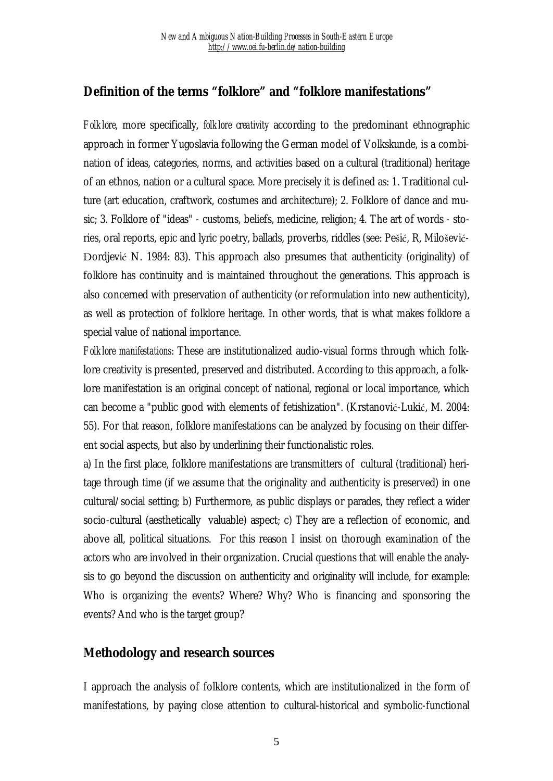## **Definition of the terms "folklore" and "folklore manifestations"**

*Folklore*, more specifically, *folklore creativity* according to the predominant ethnographic approach in former Yugoslavia following the German model of Volkskunde, is a combination of ideas, categories, norms, and activities based on a cultural (traditional) heritage of an ethnos, nation or a cultural space. More precisely it is defined as: 1. Traditional culture (art education, craftwork, costumes and architecture); 2. Folklore of dance and music; 3. Folklore of "ideas" - customs, beliefs, medicine, religion; 4. The art of words - stories, oral reports, epic and lyric poetry, ballads, proverbs, riddles (see: Pešić, R, Milošević-Đordjević N. 1984: 83). This approach also presumes that authenticity (originality) of folklore has continuity and is maintained throughout the generations. This approach is also concerned with preservation of authenticity (or reformulation into new authenticity), as well as protection of folklore heritage. In other words, that is what makes folklore a special value of national importance.

*Folklore manifestations*: These are institutionalized audio-visual forms through which folklore creativity is presented, preserved and distributed. According to this approach, a folklore manifestation is an original concept of national, regional or local importance, which can become a "public good with elements of fetishization". (Krstanović-Lukić, M. 2004: 55). For that reason, folklore manifestations can be analyzed by focusing on their different social aspects, but also by underlining their functionalistic roles.

a) In the first place, folklore manifestations are transmitters of cultural (traditional) heritage through time (if we assume that the originality and authenticity is preserved) in one cultural/social setting; b) Furthermore, as public displays or parades, they reflect a wider socio-cultural (aesthetically valuable) aspect; c) They are a reflection of economic, and above all, political situations. For this reason I insist on thorough examination of the actors who are involved in their organization. Crucial questions that will enable the analysis to go beyond the discussion on authenticity and originality will include, for example: Who is organizing the events? Where? Why? Who is financing and sponsoring the events? And who is the target group?

### **Methodology and research sources**

I approach the analysis of folklore contents, which are institutionalized in the form of manifestations, by paying close attention to cultural-historical and symbolic-functional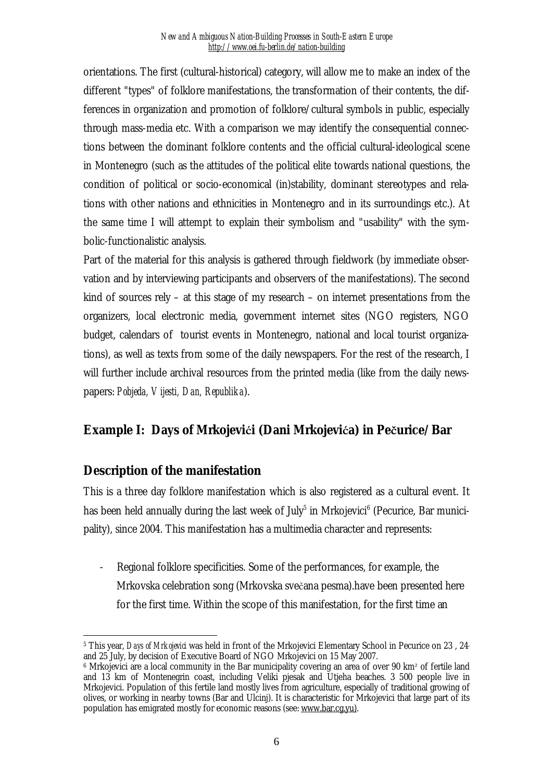orientations. The first (cultural-historical) category, will allow me to make an index of the different "types" of folklore manifestations, the transformation of their contents, the differences in organization and promotion of folklore/cultural symbols in public, especially through mass-media etc. With a comparison we may identify the consequential connections between the dominant folklore contents and the official cultural-ideological scene in Montenegro (such as the attitudes of the political elite towards national questions, the condition of political or socio-economical (in)stability, dominant stereotypes and relations with other nations and ethnicities in Montenegro and in its surroundings etc.). At the same time I will attempt to explain their symbolism and "usability" with the symbolic-functionalistic analysis.

Part of the material for this analysis is gathered through fieldwork (by immediate observation and by interviewing participants and observers of the manifestations). The second kind of sources rely – at this stage of my research – on internet presentations from the organizers, local electronic media, government internet sites (NGO registers, NGO budget, calendars of tourist events in Montenegro, national and local tourist organizations), as well as texts from some of the daily newspapers. For the rest of the research, I will further include archival resources from the printed media (like from the daily newspapers: *Pobjeda, Vijesti, Dan, Republika*).

## **Example I: Days of Mrkojevići (Dani Mrkojevića) in Pečurice/Bar**

## **Description of the manifestation**

This is a three day folklore manifestation which is also registered as a cultural event. It has been held annually during the last week of July $^5$  in Mrkojevici $^6$  (Pecurice, Bar municipality), since 2004. This manifestation has a multimedia character and represents:

- Regional folklore specificities. Some of the performances, for example, the Mrkovska celebration song (Mrkovska svečana pesma).have been presented here for the first time. Within the scope of this manifestation, for the first time an

 $\overline{a}$ <sup>5</sup> This year, *Days of Mrkojevici* was held in front of the Mrkojevici Elementary School in Pecurice on 23 , 24, and 25 July, by decision of Executive Board of NGO Mrkojevici on 15 May 2007.

<sup>&</sup>lt;sup>6</sup> Mrkojevici are a local community in the Bar municipality covering an area of over 90 km<sup>2</sup> of fertile land and 13 km of Montenegrin coast, including Veliki pjesak and Utjeha beaches. 3 500 people live in Mrkojevici. Population of this fertile land mostly lives from agriculture, especially of traditional growing of olives, or working in nearby towns (Bar and Ulcinj). It is characteristic for Mrkojevici that large part of its population has emigrated mostly for economic reasons (see: [www.bar.cg.yu\)](http://www.bar.cg.yu)).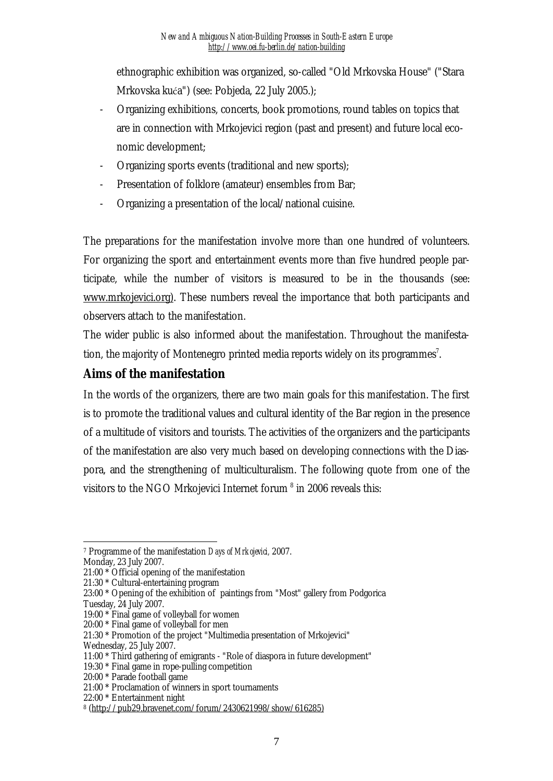ethnographic exhibition was organized, so-called "Old Mrkovska House" ("Stara Mrkovska kuća") (see: Pobjeda, 22 July 2005.);

- Organizing exhibitions, concerts, book promotions, round tables on topics that are in connection with Mrkojevici region (past and present) and future local economic development;
- Organizing sports events (traditional and new sports);
- Presentation of folklore (amateur) ensembles from Bar;
- Organizing a presentation of the local/national cuisine.

The preparations for the manifestation involve more than one hundred of volunteers. For organizing the sport and entertainment events more than five hundred people participate, while the number of visitors is measured to be in the thousands (see: [www.mrkojevici.org\).](http://www.mrkojevici.org)) These numbers reveal the importance that both participants and observers attach to the manifestation.

The wider public is also informed about the manifestation. Throughout the manifestation, the majority of Montenegro printed media reports widely on its programmes<sup>7</sup>.

## **Aims of the manifestation**

In the words of the organizers, there are two main goals for this manifestation. The first is to promote the traditional values and cultural identity of the Bar region in the presence of a multitude of visitors and tourists. The activities of the organizers and the participants of the manifestation are also very much based on developing connections with the Diaspora, and the strengthening of multiculturalism. The following quote from one of the visitors to the NGO Mrkojevici Internet forum  $8$  in 2006 reveals this:

Wednesday, 25 July 2007.

 $\overline{a}$ <sup>7</sup> Programme of the manifestation *Days of Mrkojevici,* 2007.

Monday, 23 July 2007.

<sup>21:00</sup> \* Official opening of the manifestation

<sup>21:30</sup> \* Cultural-entertaining program

<sup>23:00</sup> \* Opening of the exhibition of paintings from "Most" gallery from Podgorica Tuesday, 24 July 2007.

<sup>19:00</sup> \* Final game of volleyball for women

<sup>20:00</sup> \* Final game of volleyball for men

<sup>21:30</sup> \* Promotion of the project "Multimedia presentation of Mrkojevici"

<sup>11:00</sup> \* Third gathering of emigrants - "Role of diaspora in future development"

<sup>19:30</sup> \* Final game in rope-pulling competition

<sup>20:00</sup> \* Parade football game

<sup>21:00</sup> \* Proclamation of winners in sport tournaments

<sup>22:00</sup> \* Entertainment night

<sup>8</sup> [\(http://pub29.bravenet.com/forum/2430621998/show/616285\)](http://pub29.bravenet.com/forum/2430621998/show/616285))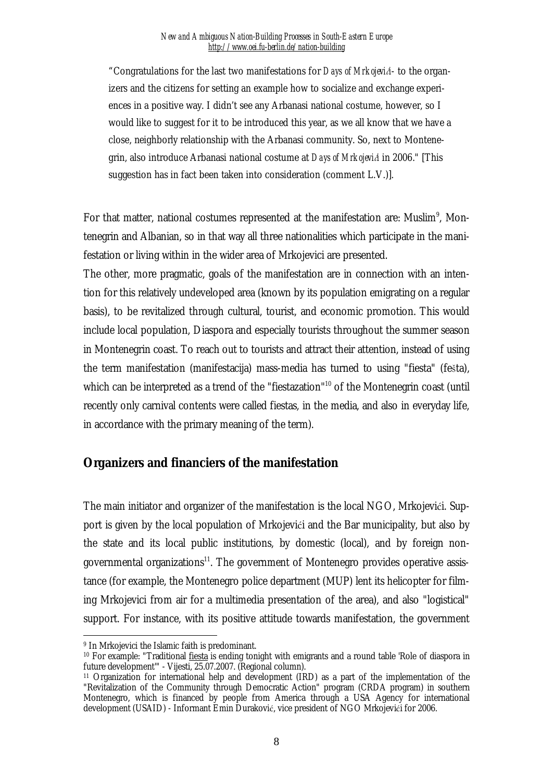"Congratulations for the last two manifestations for *Days of Mrkojevići*- to the organizers and the citizens for setting an example how to socialize and exchange experiences in a positive way. I didn't see any Arbanasi national costume, however, so I would like to suggest for it to be introduced this year, as we all know that we have a close, neighborly relationship with the Arbanasi community. So, next to Montenegrin, also introduce Arbanasi national costume at *Days of Mrkojevići* in 2006." [This suggestion has in fact been taken into consideration (comment L.V.)].

For that matter, national costumes represented at the manifestation are: Muslim<sup>9</sup>, Montenegrin and Albanian, so in that way all three nationalities which participate in the manifestation or living within in the wider area of Mrkojevici are presented.

The other, more pragmatic, goals of the manifestation are in connection with an intention for this relatively undeveloped area (known by its population emigrating on a regular basis), to be revitalized through cultural, tourist, and economic promotion. This would include local population, Diaspora and especially tourists throughout the summer season in Montenegrin coast. To reach out to tourists and attract their attention, instead of using the term manifestation (manifestacija) mass-media has turned to using "fiesta" (fešta), which can be interpreted as a trend of the "fiestazation"<sup>10</sup> of the Montenegrin coast (until recently only carnival contents were called fiestas, in the media, and also in everyday life, in accordance with the primary meaning of the term).

### **Organizers and financiers of the manifestation**

The main initiator and organizer of the manifestation is the local NGO, Mrkojevići. Support is given by the local population of Mrkojevići and the Bar municipality, but also by the state and its local public institutions, by domestic (local), and by foreign nongovernmental organizations<sup>11</sup>. The government of Montenegro provides operative assistance (for example, the Montenegro police department (MUP) lent its helicopter for filming Mrkojevici from air for a multimedia presentation of the area), and also "logistical" support. For instance, with its positive attitude towards manifestation, the government

 $\overline{a}$ 

<sup>9</sup> In Mrkojevici the Islamic faith is predominant.

<sup>&</sup>lt;sup>10</sup> For example: "Traditional fiesta is ending tonight with emigrants and a round table 'Role of diaspora in future development'" - Vijesti, 25.07.2007. (Regional column).

<sup>11</sup> Organization for international help and development (IRD) as a part of the implementation of the "Revitalization of the Community through Democratic Action" program (CRDA program) in southern Montenegro, which is financed by people from America through a USA Agency for international development (USAID) - Informant Emin Duraković, vice president of NGO Mrkojevići for 2006.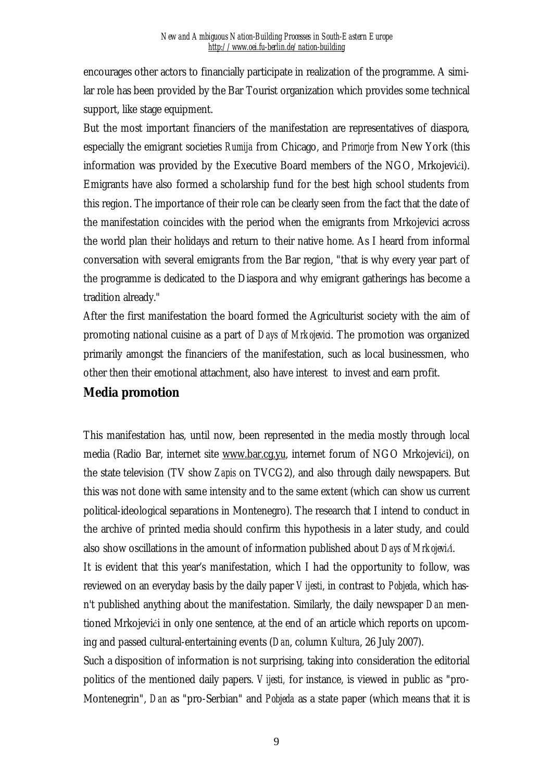encourages other actors to financially participate in realization of the programme. A similar role has been provided by the Bar Tourist organization which provides some technical support, like stage equipment.

But the most important financiers of the manifestation are representatives of diaspora, especially the emigrant societies *Rumija* from Chicago, and *Primorje* from New York (this information was provided by the Executive Board members of the NGO, Mrkojevići). Emigrants have also formed a scholarship fund for the best high school students from this region. The importance of their role can be clearly seen from the fact that the date of the manifestation coincides with the period when the emigrants from Mrkojevici across the world plan their holidays and return to their native home. As I heard from informal conversation with several emigrants from the Bar region, "that is why every year part of the programme is dedicated to the Diaspora and why emigrant gatherings has become a tradition already."

After the first manifestation the board formed the Agriculturist society with the aim of promoting national cuisine as a part of *Days of Mrkojevici*. The promotion was organized primarily amongst the financiers of the manifestation, such as local businessmen, who other then their emotional attachment, also have interest to invest and earn profit.

## **Media promotion**

This manifestation has, until now, been represented in the media mostly through local media (Radio Bar, internet site [www.bar.cg.yu](http://www.bar.cg.yu), internet forum of NGO Mrkojevići), on the state television (TV show *Zapis* on TVCG2), and also through daily newspapers. But this was not done with same intensity and to the same extent (which can show us current political-ideological separations in Montenegro). The research that I intend to conduct in the archive of printed media should confirm this hypothesis in a later study, and could also show oscillations in the amount of information published about *Days of Mrkojevići*. It is evident that this year's manifestation, which I had the opportunity to follow, was reviewed on an everyday basis by the daily paper *Vijesti*, in contrast to *Pobjeda*, which hasn't published anything about the manifestation. Similarly, the daily newspaper *Dan* mentioned Mrkojevići in only one sentence, at the end of an article which reports on upcoming and passed cultural-entertaining events (*Dan*, column *Kultura*, 26 July 2007).

Such a disposition of information is not surprising, taking into consideration the editorial politics of the mentioned daily papers. *Vijesti,* for instance, is viewed in public as "pro-Montenegrin", *Dan* as "pro-Serbian" and *Pobjeda* as a state paper (which means that it is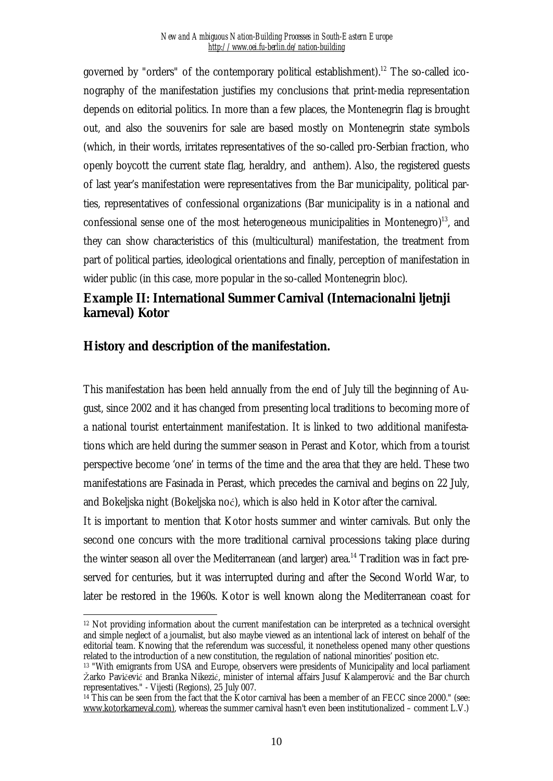governed by "orders" of the contemporary political establishment).<sup>12</sup> The so-called iconography of the manifestation justifies my conclusions that print-media representation depends on editorial politics. In more than a few places, the Montenegrin flag is brought out, and also the souvenirs for sale are based mostly on Montenegrin state symbols (which, in their words, irritates representatives of the so-called pro-Serbian fraction, who openly boycott the current state flag, heraldry, and anthem). Also, the registered guests of last year's manifestation were representatives from the Bar municipality, political parties, representatives of confessional organizations (Bar municipality is in a national and confessional sense one of the most heterogeneous municipalities in Montenegro) $^{13}$ , and they can show characteristics of this (multicultural) manifestation, the treatment from part of political parties, ideological orientations and finally, perception of manifestation in wider public (in this case, more popular in the so-called Montenegrin bloc).

# **Example II: International Summer Carnival (Internacionalni ljetnji karneval) Kotor**

## **History and description of the manifestation.**

This manifestation has been held annually from the end of July till the beginning of August, since 2002 and it has changed from presenting local traditions to becoming more of a national tourist entertainment manifestation. It is linked to two additional manifestations which are held during the summer season in Perast and Kotor, which from a tourist perspective become 'one' in terms of the time and the area that they are held. These two manifestations are Fasinada in Perast, which precedes the carnival and begins on 22 July, and Bokeljska night (Bokeljska noć), which is also held in Kotor after the carnival.

It is important to mention that Kotor hosts summer and winter carnivals. But only the second one concurs with the more traditional carnival processions taking place during the winter season all over the Mediterranean (and larger) area.<sup>14</sup> Tradition was in fact preserved for centuries, but it was interrupted during and after the Second World War, to later be restored in the 1960s. Kotor is well known along the Mediterranean coast for

 $\overline{a}$ <sup>12</sup> Not providing information about the current manifestation can be interpreted as a technical oversight and simple neglect of a journalist, but also maybe viewed as an intentional lack of interest on behalf of the editorial team. Knowing that the referendum was successful, it nonetheless opened many other questions related to the introduction of a new constitution, the regulation of national minorities' position etc.

<sup>&</sup>lt;sup>13</sup> "With emigrants from USA and Europe, observers were presidents of Municipality and local parliament Žarko Pavičević and Branka Nikezić, minister of internal affairs Jusuf Kalamperović and the Bar church representatives." - Vijesti (Regions), 25 July 007.

<sup>&</sup>lt;sup>14</sup> This can be seen from the fact that the Kotor carnival has been a member of an FECC since 2000." (see: [www.kotorkarneval.com\),](http://www.kotorkarneval.com)) whereas the summer carnival hasn't even been institutionalized – comment L.V.)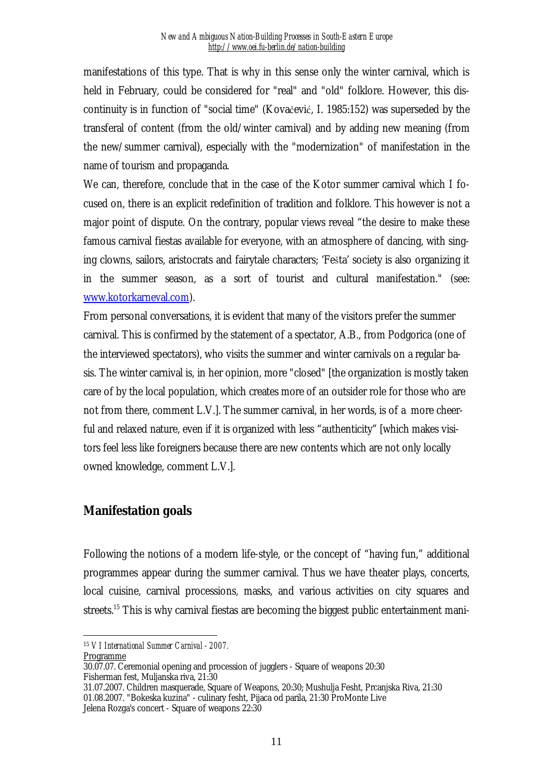manifestations of this type. That is why in this sense only the winter carnival, which is held in February, could be considered for "real" and "old" folklore. However, this discontinuity is in function of "social time" (Kovačević, I. 1985:152) was superseded by the transferal of content (from the old/winter carnival) and by adding new meaning (from the new/summer carnival), especially with the "modernization" of manifestation in the name of tourism and propaganda.

We can, therefore, conclude that in the case of the Kotor summer carnival which I focused on, there is an explicit redefinition of tradition and folklore. This however is not a major point of dispute. On the contrary, popular views reveal "the desire to make these famous carnival fiestas available for everyone, with an atmosphere of dancing, with singing clowns, sailors, aristocrats and fairytale characters; 'Fešta' society is also organizing it in the summer season, as a sort of tourist and cultural manifestation." (see: [www.kotorkarneval.com\)](http://www.kotorkarneval.com).

From personal conversations, it is evident that many of the visitors prefer the summer carnival. This is confirmed by the statement of a spectator, A.B., from Podgorica (one of the interviewed spectators), who visits the summer and winter carnivals on a regular basis. The winter carnival is, in her opinion, more "closed" [the organization is mostly taken care of by the local population, which creates more of an outsider role for those who are not from there, comment L.V.]. The summer carnival, in her words, is of a more cheerful and relaxed nature, even if it is organized with less "authenticity" [which makes visitors feel less like foreigners because there are new contents which are not only locally owned knowledge, comment L.V.].

### **Manifestation goals**

Following the notions of a modern life-style, or the concept of "having fun," additional programmes appear during the summer carnival. Thus we have theater plays, concerts, local cuisine, carnival processions, masks, and various activities on city squares and streets.<sup>15</sup> This is why carnival fiestas are becoming the biggest public entertainment mani-

 $\overline{a}$ <sup>15</sup> *VI International Summer Carnival - 2007.* Programme

<sup>30.07.07.</sup> Ceremonial opening and procession of jugglers - Square of weapons 20:30 Fisherman fest, Muljanska riva, 21:30

<sup>31.07.2007.</sup> Children masquerade, Square of Weapons, 20:30; Mushulja Fesht, Prcanjska Riva, 21:30 01.08.2007. "Bokeska kuzina" - culinary fesht, Pijaca od parila, 21:30 ProMonte Live Jelena Rozga's concert - Square of weapons 22:30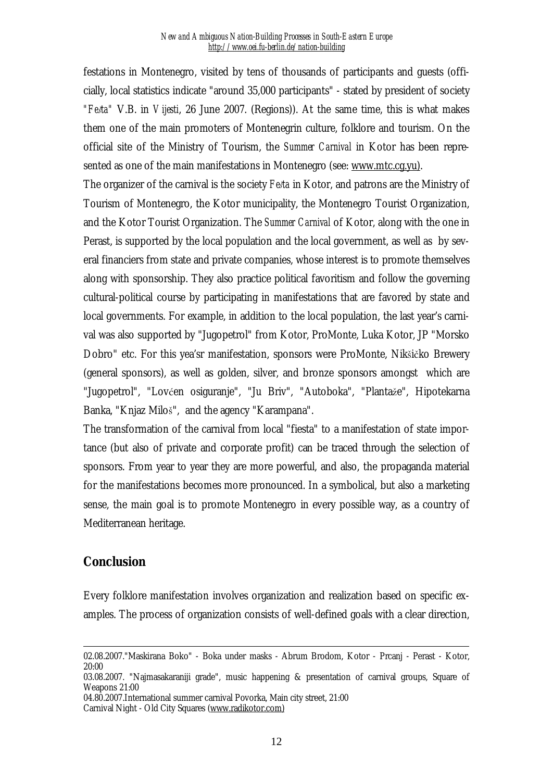festations in Montenegro, visited by tens of thousands of participants and guests (officially, local statistics indicate "around 35,000 participants" - stated by president of society *"Fešta"* V.B. in *Vijesti*, 26 June 2007. (Regions)). At the same time, this is what makes them one of the main promoters of Montenegrin culture, folklore and tourism. On the official site of the Ministry of Tourism, the *Summer Carnival* in Kotor has been represented as one of the main manifestations in Montenegro (see: [www.mtc.cg.yu\)](http://www.mtc.cg.yu)).

The organizer of the carnival is the society *Fešta* in Kotor, and patrons are the Ministry of Tourism of Montenegro, the Kotor municipality, the Montenegro Tourist Organization, and the Kotor Tourist Organization. The *Summer Carnival* of Kotor, along with the one in Perast, is supported by the local population and the local government, as well as by several financiers from state and private companies, whose interest is to promote themselves along with sponsorship. They also practice political favoritism and follow the governing cultural-political course by participating in manifestations that are favored by state and local governments. For example, in addition to the local population, the last year's carnival was also supported by "Jugopetrol" from Kotor, ProMonte, Luka Kotor, JP "Morsko Dobro" etc. For this yea'sr manifestation, sponsors were ProMonte, Nikšičko Brewery (general sponsors), as well as golden, silver, and bronze sponsors amongst which are "Jugopetrol", "Lovćen osiguranje", "Ju Briv", "Autoboka", "Plantaže", Hipotekarna Banka, "Knjaz Miloš", and the agency "Karampana".

The transformation of the carnival from local "fiesta" to a manifestation of state importance (but also of private and corporate profit) can be traced through the selection of sponsors. From year to year they are more powerful, and also, the propaganda material for the manifestations becomes more pronounced. In a symbolical, but also a marketing sense, the main goal is to promote Montenegro in every possible way, as a country of Mediterranean heritage.

### **Conclusion**

 $\overline{a}$ 

Every folklore manifestation involves organization and realization based on specific examples. The process of organization consists of well-defined goals with a clear direction,

<sup>02.08.2007.&</sup>quot;Maskirana Boko" - Boka under masks - Abrum Brodom, Kotor - Prcanj - Perast - Kotor, 20:00

<sup>03.08.2007.</sup> "Najmasakaraniji grade", music happening & presentation of carnival groups, Square of Weapons 21:00

<sup>04.80.2007.</sup>International summer carnival Povorka, Main city street, 21:00 Carnival Night - Old City Squares [\(www.radikotor.com\)](http://www.radikotor.com))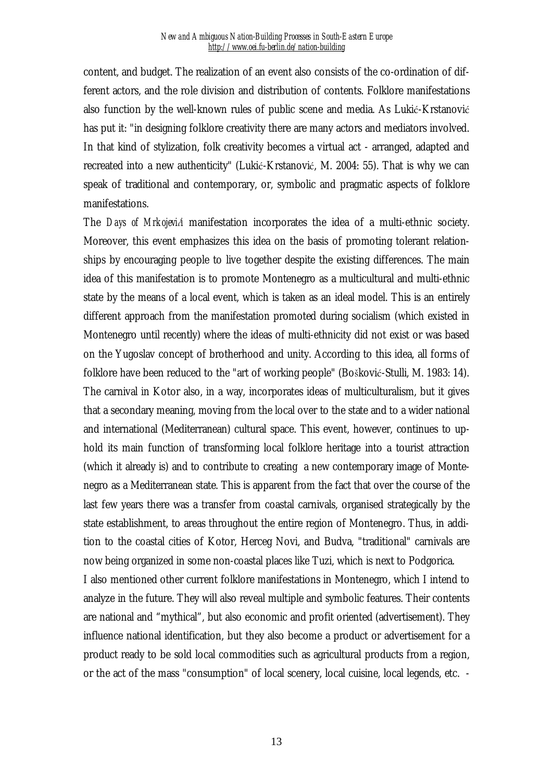content, and budget. The realization of an event also consists of the co-ordination of different actors, and the role division and distribution of contents. Folklore manifestations also function by the well-known rules of public scene and media. As Lukić-Krstanović has put it: "in designing folklore creativity there are many actors and mediators involved. In that kind of stylization, folk creativity becomes a virtual act - arranged, adapted and recreated into a new authenticity" (Lukić-Krstanović, M. 2004: 55). That is why we can speak of traditional and contemporary, or, symbolic and pragmatic aspects of folklore manifestations.

The *Days of Mrkojevići* manifestation incorporates the idea of a multi-ethnic society. Moreover, this event emphasizes this idea on the basis of promoting tolerant relationships by encouraging people to live together despite the existing differences. The main idea of this manifestation is to promote Montenegro as a multicultural and multi-ethnic state by the means of a local event, which is taken as an ideal model. This is an entirely different approach from the manifestation promoted during socialism (which existed in Montenegro until recently) where the ideas of multi-ethnicity did not exist or was based on the Yugoslav concept of brotherhood and unity. According to this idea, all forms of folklore have been reduced to the "art of working people" (Bošković-Stulli, M. 1983: 14). The carnival in Kotor also, in a way, incorporates ideas of multiculturalism, but it gives that a secondary meaning, moving from the local over to the state and to a wider national and international (Mediterranean) cultural space. This event, however, continues to uphold its main function of transforming local folklore heritage into a tourist attraction (which it already is) and to contribute to creating a new contemporary image of Montenegro as a Mediterranean state. This is apparent from the fact that over the course of the last few years there was a transfer from coastal carnivals, organised strategically by the state establishment, to areas throughout the entire region of Montenegro. Thus, in addition to the coastal cities of Kotor, Herceg Novi, and Budva, "traditional" carnivals are now being organized in some non-coastal places like Tuzi, which is next to Podgorica. I also mentioned other current folklore manifestations in Montenegro, which I intend to analyze in the future. They will also reveal multiple and symbolic features. Their contents

are national and "mythical", but also economic and profit oriented (advertisement). They influence national identification, but they also become a product or advertisement for a product ready to be sold local commodities such as agricultural products from a region, or the act of the mass "consumption" of local scenery, local cuisine, local legends, etc. -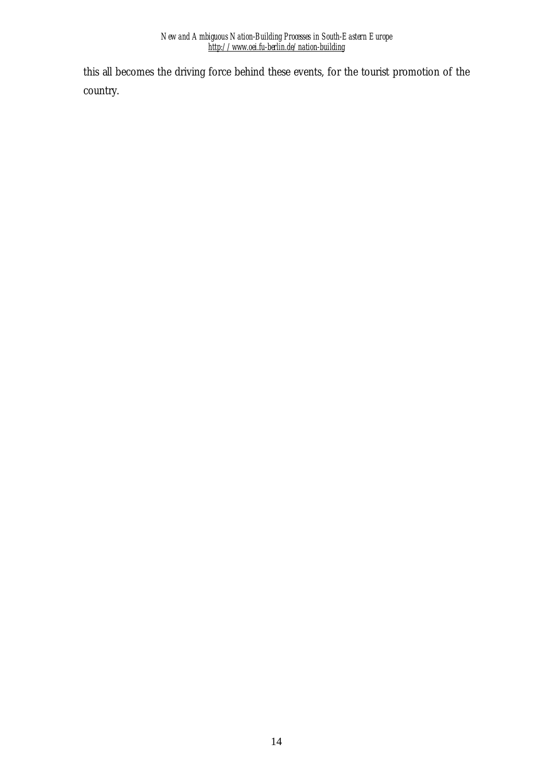this all becomes the driving force behind these events, for the tourist promotion of the country.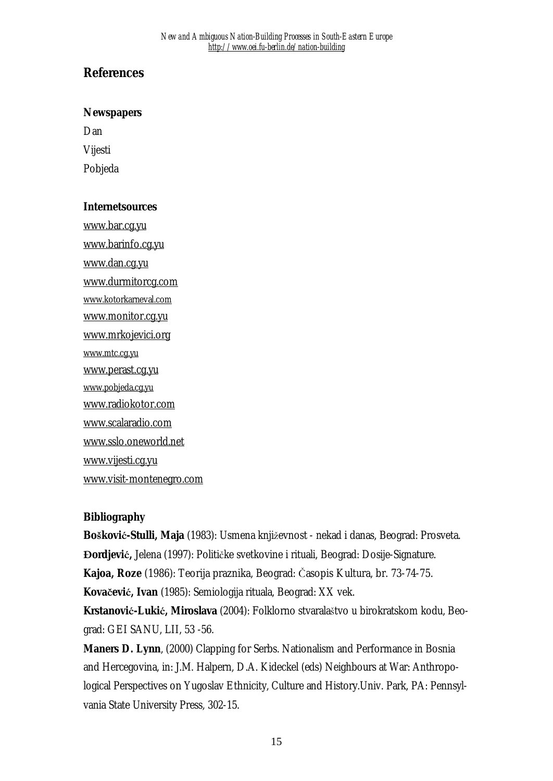# **References**

#### **Newspapers**

Dan

Vijesti

Pobjeda

### **Internetsources**

[www.bar.cg.yu](http://www.bar.cg.yu) [www.barinfo.cg.yu](http://www.barinfo.cg.yu) [www.dan.cg.yu](http://www.dan.cg.yu) [www.durmitorcg.com](http://www.durmitorcg.com) [www.kotorkarneval.com](http://www.kotorkarneval.com) [www.monitor.cg.yu](http://www.monitor.cg.yu) [www.mrkojevici.org](http://www.mrkojevici.org) [www.mtc.cg.yu](http://www.mtc.cg.yu) [www.perast.cg.yu](http://www.perast.cg.yu) [www.pobjeda.cg.yu](http://www.pobjeda.cg.yu) [www.radiokotor.com](http://www.radiokotor.com) [www.scalaradio.com](http://www.scalaradio.com) [www.sslo.oneworld.net](http://www.sslo.oneworld.net) [www.vijesti.cg.yu](http://www.vijesti.cg.yu) [www.visit-montenegro.com](http://www.visit-montenegro.com)

### **Bibliography**

**Bošković-Stulli, Maja** (1983): Usmena književnost - nekad i danas, Beograd: Prosveta. **Đordjević,** Jelena (1997): Političke svetkovine i rituali, Beograd: Dosije-Signature. **Kajoa, Roze** (1986): Teorija praznika, Beograd: Časopis Kultura, br. 73-74-75. **Kovačević, Ivan** (1985): Semiologija rituala, Beograd: XX vek. **Krstanović-Lukić, Miroslava** (2004): Folklorno stvaralaštvo u birokratskom kodu, Beo-

grad: GEI SANU, LII, 53 -56.

**Maners D. Lynn**, (2000) Clapping for Serbs. Nationalism and Performance in Bosnia and Hercegovina, in: J.M. Halpern, D.A. Kideckel (eds) Neighbours at War: Anthropological Perspectives on Yugoslav Ethnicity, Culture and History.Univ. Park, PA: Pennsylvania State University Press, 302-15.